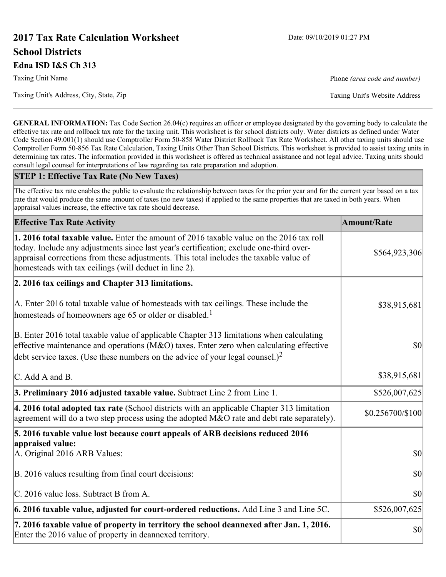# **2017 Tax Rate Calculation Worksheet** Date: 09/10/2019 01:27 PM **School Districts Edna ISD I&S Ch 313**

Taxing Unit's Address, City, State, Zip Taxing Unit's Website Address

**GENERAL INFORMATION:** Tax Code Section 26.04(c) requires an officer or employee designated by the governing body to calculate the effective tax rate and rollback tax rate for the taxing unit. This worksheet is for school districts only. Water districts as defined under Water Code Section 49.001(1) should use Comptroller Form 50-858 Water District Rollback Tax Rate Worksheet. All other taxing units should use Comptroller Form 50-856 Tax Rate Calculation, Taxing Units Other Than School Districts. This worksheet is provided to assist taxing units in determining tax rates. The information provided in this worksheet is offered as technical assistance and not legal advice. Taxing units should consult legal counsel for interpretations of law regarding tax rate preparation and adoption.

#### **STEP 1: Effective Tax Rate (No New Taxes)**

The effective tax rate enables the public to evaluate the relationship between taxes for the prior year and for the current year based on a tax rate that would produce the same amount of taxes (no new taxes) if applied to the same properties that are taxed in both years. When appraisal values increase, the effective tax rate should decrease.

| <b>Effective Tax Rate Activity</b>                                                                                                                                                                                                                                                                                                     | <b>Amount/Rate</b> |
|----------------------------------------------------------------------------------------------------------------------------------------------------------------------------------------------------------------------------------------------------------------------------------------------------------------------------------------|--------------------|
| 1. 2016 total taxable value. Enter the amount of 2016 taxable value on the 2016 tax roll<br>today. Include any adjustments since last year's certification; exclude one-third over-<br>appraisal corrections from these adjustments. This total includes the taxable value of<br>homesteads with tax ceilings (will deduct in line 2). | \$564,923,306      |
| 2. 2016 tax ceilings and Chapter 313 limitations.                                                                                                                                                                                                                                                                                      |                    |
| A. Enter 2016 total taxable value of homesteads with tax ceilings. These include the<br>homesteads of homeowners age 65 or older or disabled. <sup>1</sup>                                                                                                                                                                             | \$38,915,681       |
| B. Enter 2016 total taxable value of applicable Chapter 313 limitations when calculating<br>effective maintenance and operations ( $M&O$ ) taxes. Enter zero when calculating effective<br>debt service taxes. (Use these numbers on the advice of your legal counsel.) <sup>2</sup>                                                   | 30                 |
| C. Add A and B.                                                                                                                                                                                                                                                                                                                        | \$38,915,681       |
| 3. Preliminary 2016 adjusted taxable value. Subtract Line 2 from Line 1.                                                                                                                                                                                                                                                               | \$526,007,625      |
| $\vert$ 4. 2016 total adopted tax rate (School districts with an applicable Chapter 313 limitation<br>agreement will do a two step process using the adopted M&O rate and debt rate separately).                                                                                                                                       | \$0.256700/\$100   |
| 5. 2016 taxable value lost because court appeals of ARB decisions reduced 2016                                                                                                                                                                                                                                                         |                    |
| appraised value:<br>A. Original 2016 ARB Values:                                                                                                                                                                                                                                                                                       | $ 10\rangle$       |
| B. 2016 values resulting from final court decisions:                                                                                                                                                                                                                                                                                   | 30                 |
| C. 2016 value loss. Subtract B from A.                                                                                                                                                                                                                                                                                                 | \$0                |
| 6. 2016 taxable value, adjusted for court-ordered reductions. Add Line 3 and Line 5C.                                                                                                                                                                                                                                                  | \$526,007,625      |
| 7. 2016 taxable value of property in territory the school deannexed after Jan. 1, 2016.<br>Enter the 2016 value of property in deannexed territory.                                                                                                                                                                                    | \$0                |

Taxing Unit Name **Phone** *(area code and number)* Phone *(area code and number)*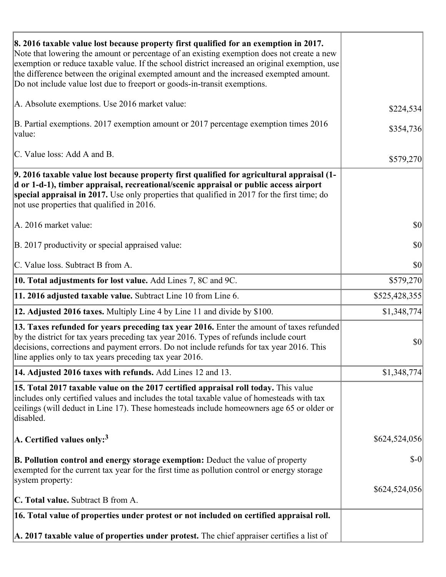| 8. 2016 taxable value lost because property first qualified for an exemption in 2017.<br>Note that lowering the amount or percentage of an existing exemption does not create a new<br>exemption or reduce taxable value. If the school district increased an original exemption, use<br>the difference between the original exempted amount and the increased exempted amount.<br>Do not include value lost due to freeport or goods-in-transit exemptions. |               |
|--------------------------------------------------------------------------------------------------------------------------------------------------------------------------------------------------------------------------------------------------------------------------------------------------------------------------------------------------------------------------------------------------------------------------------------------------------------|---------------|
| A. Absolute exemptions. Use 2016 market value:                                                                                                                                                                                                                                                                                                                                                                                                               | \$224,534     |
| B. Partial exemptions. 2017 exemption amount or 2017 percentage exemption times 2016<br>value:                                                                                                                                                                                                                                                                                                                                                               | \$354,736     |
| C. Value loss: Add A and B.                                                                                                                                                                                                                                                                                                                                                                                                                                  | \$579,270     |
| 9. 2016 taxable value lost because property first qualified for agricultural appraisal (1-<br>d or 1-d-1), timber appraisal, recreational/scenic appraisal or public access airport<br>special appraisal in 2017. Use only properties that qualified in 2017 for the first time; do<br>not use properties that qualified in 2016.                                                                                                                            |               |
| A. 2016 market value:                                                                                                                                                                                                                                                                                                                                                                                                                                        | \$0           |
| B. 2017 productivity or special appraised value:                                                                                                                                                                                                                                                                                                                                                                                                             | \$0           |
| C. Value loss. Subtract B from A.                                                                                                                                                                                                                                                                                                                                                                                                                            | \$0           |
| <b>10. Total adjustments for lost value.</b> Add Lines 7, 8C and 9C.                                                                                                                                                                                                                                                                                                                                                                                         | \$579,270     |
| 11. 2016 adjusted taxable value. Subtract Line 10 from Line 6.                                                                                                                                                                                                                                                                                                                                                                                               | \$525,428,355 |
| <b>12. Adjusted 2016 taxes.</b> Multiply Line 4 by Line 11 and divide by \$100.                                                                                                                                                                                                                                                                                                                                                                              | \$1,348,774   |
| [13. Taxes refunded for years preceding tax year 2016. Enter the amount of taxes refunded]<br>by the district for tax years preceding tax year 2016. Types of refunds include court<br>decisions, corrections and payment errors. Do not include refunds for tax year 2016. This<br>line applies only to tax years preceding tax year 2016.                                                                                                                  | $ 10\rangle$  |
| <b>14. Adjusted 2016 taxes with refunds.</b> Add Lines 12 and 13.                                                                                                                                                                                                                                                                                                                                                                                            | \$1,348,774   |
| 15. Total 2017 taxable value on the 2017 certified appraisal roll today. This value<br>includes only certified values and includes the total taxable value of homesteads with tax<br>ceilings (will deduct in Line 17). These homesteads include homeowners age 65 or older or<br>disabled.                                                                                                                                                                  |               |
| $ A$ . Certified values only: <sup>3</sup>                                                                                                                                                                                                                                                                                                                                                                                                                   | \$624,524,056 |
| <b>B. Pollution control and energy storage exemption:</b> Deduct the value of property<br>exempted for the current tax year for the first time as pollution control or energy storage<br>system property:                                                                                                                                                                                                                                                    | $\delta$ -0   |
| <b>C. Total value.</b> Subtract B from A.                                                                                                                                                                                                                                                                                                                                                                                                                    | \$624,524,056 |
| 16. Total value of properties under protest or not included on certified appraisal roll.                                                                                                                                                                                                                                                                                                                                                                     |               |
|                                                                                                                                                                                                                                                                                                                                                                                                                                                              |               |
| A. 2017 taxable value of properties under protest. The chief appraiser certifies a list of                                                                                                                                                                                                                                                                                                                                                                   |               |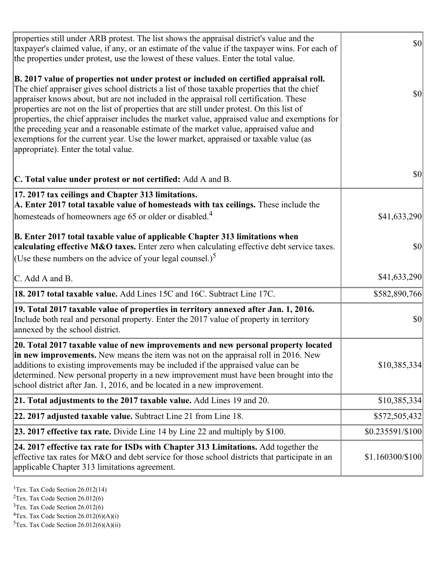| B. 2017 value of properties not under protest or included on certified appraisal roll.<br>The chief appraiser gives school districts a list of those taxable properties that the chief<br>appraiser knows about, but are not included in the appraisal roll certification. These<br>properties are not on the list of properties that are still under protest. On this list of<br>properties, the chief appraiser includes the market value, appraised value and exemptions for<br>the preceding year and a reasonable estimate of the market value, appraised value and<br>exemptions for the current year. Use the lower market, appraised or taxable value (as<br>appropriate). Enter the total value.<br>C. Total value under protest or not certified: Add A and B.<br>17. 2017 tax ceilings and Chapter 313 limitations.<br>A. Enter 2017 total taxable value of homesteads with tax ceilings. These include the<br>homesteads of homeowners age 65 or older or disabled. <sup>4</sup><br>calculating effective M&O taxes. Enter zero when calculating effective debt service taxes.<br>(Use these numbers on the advice of your legal counsel.) <sup>5</sup><br>C. Add A and B.<br>18. 2017 total taxable value. Add Lines 15C and 16C. Subtract Line 17C.<br>19. Total 2017 taxable value of properties in territory annexed after Jan. 1, 2016.<br>Include both real and personal property. Enter the 2017 value of property in territory<br>annexed by the school district.<br>20. Total 2017 taxable value of new improvements and new personal property located<br>in new improvements. New means the item was not on the appraisal roll in 2016. New<br>additions to existing improvements may be included if the appraised value can be<br>determined. New personal property in a new improvement must have been brought into the<br>school district after Jan. 1, 2016, and be located in a new improvement.<br>21. Total adjustments to the 2017 taxable value. Add Lines 19 and 20.<br>22. 2017 adjusted taxable value. Subtract Line 21 from Line 18.<br><b>23. 2017 effective tax rate.</b> Divide Line 14 by Line 22 and multiply by \$100.<br>24. 2017 effective tax rate for ISDs with Chapter 313 Limitations. Add together the<br>effective tax rates for M&O and debt service for those school districts that participate in an<br>applicable Chapter 313 limitations agreement. | properties still under ARB protest. The list shows the appraisal district's value and the<br>taxpayer's claimed value, if any, or an estimate of the value if the taxpayer wins. For each of<br>the properties under protest, use the lowest of these values. Enter the total value. | $ 10\rangle$     |
|-----------------------------------------------------------------------------------------------------------------------------------------------------------------------------------------------------------------------------------------------------------------------------------------------------------------------------------------------------------------------------------------------------------------------------------------------------------------------------------------------------------------------------------------------------------------------------------------------------------------------------------------------------------------------------------------------------------------------------------------------------------------------------------------------------------------------------------------------------------------------------------------------------------------------------------------------------------------------------------------------------------------------------------------------------------------------------------------------------------------------------------------------------------------------------------------------------------------------------------------------------------------------------------------------------------------------------------------------------------------------------------------------------------------------------------------------------------------------------------------------------------------------------------------------------------------------------------------------------------------------------------------------------------------------------------------------------------------------------------------------------------------------------------------------------------------------------------------------------------------------------------------------------------------------------------------------------------------------------------------------------------------------------------------------------------------------------------------------------------------------------------------------------------------------------------------------------------------------------------------------------------------------------------------------------------------------------------------------------------------------------------------------------------|--------------------------------------------------------------------------------------------------------------------------------------------------------------------------------------------------------------------------------------------------------------------------------------|------------------|
| B. Enter 2017 total taxable value of applicable Chapter 313 limitations when                                                                                                                                                                                                                                                                                                                                                                                                                                                                                                                                                                                                                                                                                                                                                                                                                                                                                                                                                                                                                                                                                                                                                                                                                                                                                                                                                                                                                                                                                                                                                                                                                                                                                                                                                                                                                                                                                                                                                                                                                                                                                                                                                                                                                                                                                                                              |                                                                                                                                                                                                                                                                                      | <b>\$0</b>       |
|                                                                                                                                                                                                                                                                                                                                                                                                                                                                                                                                                                                                                                                                                                                                                                                                                                                                                                                                                                                                                                                                                                                                                                                                                                                                                                                                                                                                                                                                                                                                                                                                                                                                                                                                                                                                                                                                                                                                                                                                                                                                                                                                                                                                                                                                                                                                                                                                           |                                                                                                                                                                                                                                                                                      | \$0              |
|                                                                                                                                                                                                                                                                                                                                                                                                                                                                                                                                                                                                                                                                                                                                                                                                                                                                                                                                                                                                                                                                                                                                                                                                                                                                                                                                                                                                                                                                                                                                                                                                                                                                                                                                                                                                                                                                                                                                                                                                                                                                                                                                                                                                                                                                                                                                                                                                           |                                                                                                                                                                                                                                                                                      | \$41,633,290     |
|                                                                                                                                                                                                                                                                                                                                                                                                                                                                                                                                                                                                                                                                                                                                                                                                                                                                                                                                                                                                                                                                                                                                                                                                                                                                                                                                                                                                                                                                                                                                                                                                                                                                                                                                                                                                                                                                                                                                                                                                                                                                                                                                                                                                                                                                                                                                                                                                           |                                                                                                                                                                                                                                                                                      | \$0              |
|                                                                                                                                                                                                                                                                                                                                                                                                                                                                                                                                                                                                                                                                                                                                                                                                                                                                                                                                                                                                                                                                                                                                                                                                                                                                                                                                                                                                                                                                                                                                                                                                                                                                                                                                                                                                                                                                                                                                                                                                                                                                                                                                                                                                                                                                                                                                                                                                           |                                                                                                                                                                                                                                                                                      | \$41,633,290     |
|                                                                                                                                                                                                                                                                                                                                                                                                                                                                                                                                                                                                                                                                                                                                                                                                                                                                                                                                                                                                                                                                                                                                                                                                                                                                                                                                                                                                                                                                                                                                                                                                                                                                                                                                                                                                                                                                                                                                                                                                                                                                                                                                                                                                                                                                                                                                                                                                           |                                                                                                                                                                                                                                                                                      | \$582,890,766    |
|                                                                                                                                                                                                                                                                                                                                                                                                                                                                                                                                                                                                                                                                                                                                                                                                                                                                                                                                                                                                                                                                                                                                                                                                                                                                                                                                                                                                                                                                                                                                                                                                                                                                                                                                                                                                                                                                                                                                                                                                                                                                                                                                                                                                                                                                                                                                                                                                           |                                                                                                                                                                                                                                                                                      | \$0              |
|                                                                                                                                                                                                                                                                                                                                                                                                                                                                                                                                                                                                                                                                                                                                                                                                                                                                                                                                                                                                                                                                                                                                                                                                                                                                                                                                                                                                                                                                                                                                                                                                                                                                                                                                                                                                                                                                                                                                                                                                                                                                                                                                                                                                                                                                                                                                                                                                           |                                                                                                                                                                                                                                                                                      | \$10,385,334     |
|                                                                                                                                                                                                                                                                                                                                                                                                                                                                                                                                                                                                                                                                                                                                                                                                                                                                                                                                                                                                                                                                                                                                                                                                                                                                                                                                                                                                                                                                                                                                                                                                                                                                                                                                                                                                                                                                                                                                                                                                                                                                                                                                                                                                                                                                                                                                                                                                           |                                                                                                                                                                                                                                                                                      | \$10,385,334     |
|                                                                                                                                                                                                                                                                                                                                                                                                                                                                                                                                                                                                                                                                                                                                                                                                                                                                                                                                                                                                                                                                                                                                                                                                                                                                                                                                                                                                                                                                                                                                                                                                                                                                                                                                                                                                                                                                                                                                                                                                                                                                                                                                                                                                                                                                                                                                                                                                           |                                                                                                                                                                                                                                                                                      | \$572,505,432    |
|                                                                                                                                                                                                                                                                                                                                                                                                                                                                                                                                                                                                                                                                                                                                                                                                                                                                                                                                                                                                                                                                                                                                                                                                                                                                                                                                                                                                                                                                                                                                                                                                                                                                                                                                                                                                                                                                                                                                                                                                                                                                                                                                                                                                                                                                                                                                                                                                           |                                                                                                                                                                                                                                                                                      | \$0.235591/\$100 |
|                                                                                                                                                                                                                                                                                                                                                                                                                                                                                                                                                                                                                                                                                                                                                                                                                                                                                                                                                                                                                                                                                                                                                                                                                                                                                                                                                                                                                                                                                                                                                                                                                                                                                                                                                                                                                                                                                                                                                                                                                                                                                                                                                                                                                                                                                                                                                                                                           |                                                                                                                                                                                                                                                                                      | \$1.160300/\$100 |

<sup>1</sup>Tex. Tax Code Section 26.012(14)

<sup>2</sup>Tex. Tax Code Section 26.012(6)

 $3$ Tex. Tax Code Section 26.012(6)

 ${}^{4}$ Tex. Tax Code Section 26.012(6)(A)(i)

 ${}^{5}$ Tex. Tax Code Section 26.012(6)(A)(ii)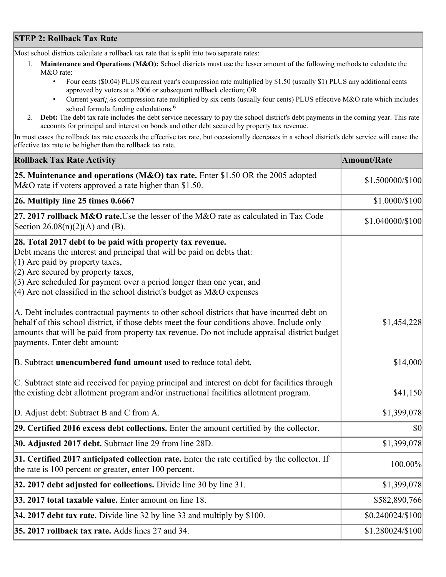## **STEP 2: Rollback Tax Rate**

Most school districts calculate a rollback tax rate that is split into two separate rates:

- 1. **Maintenance and Operations (M&O):** School districts must use the lesser amount of the following methods to calculate the M&O rate:
	- Four cents (\$0.04) PLUS current year's compression rate multiplied by \$1.50 (usually \$1) PLUS any additional cents approved by voters at a 2006 or subsequent rollback election; OR
	- Current year $i/\frac{1}{2}$ s compression rate multiplied by six cents (usually four cents) PLUS effective M&O rate which includes school formula funding calculations.<sup>6</sup>
- 2. **Debt:** The debt tax rate includes the debt service necessary to pay the school district's debt payments in the coming year. This rate accounts for principal and interest on bonds and other debt secured by property tax revenue.

In most cases the rollback tax rate exceeds the effective tax rate, but occasionally decreases in a school district's debt service will cause the effective tax rate to be higher than the rollback tax rate.

| <b>Rollback Tax Rate Activity</b>                                                                                                                                                                                                                                                                                                                                       | <b>Amount/Rate</b> |
|-------------------------------------------------------------------------------------------------------------------------------------------------------------------------------------------------------------------------------------------------------------------------------------------------------------------------------------------------------------------------|--------------------|
| 25. Maintenance and operations (M&O) tax rate. Enter \$1.50 OR the 2005 adopted<br>M&O rate if voters approved a rate higher than \$1.50.                                                                                                                                                                                                                               | \$1.500000/\$100   |
| $26.$ Multiply line 25 times $0.6667$                                                                                                                                                                                                                                                                                                                                   | \$1.0000/\$100     |
| 27. 2017 rollback M&O rate. Use the lesser of the M&O rate as calculated in Tax Code<br>Section $26.08(n)(2)(A)$ and (B).                                                                                                                                                                                                                                               | \$1.040000/\$100   |
| 28. Total 2017 debt to be paid with property tax revenue.<br>Debt means the interest and principal that will be paid on debts that:<br>$(1)$ Are paid by property taxes,<br>$(2)$ Are secured by property taxes,<br>$(3)$ Are scheduled for payment over a period longer than one year, and<br>$(4)$ Are not classified in the school district's budget as M&O expenses |                    |
| A. Debt includes contractual payments to other school districts that have incurred debt on<br>behalf of this school district, if those debts meet the four conditions above. Include only<br>amounts that will be paid from property tax revenue. Do not include appraisal district budget<br>payments. Enter debt amount:                                              | \$1,454,228        |
| B. Subtract unencumbered fund amount used to reduce total debt.                                                                                                                                                                                                                                                                                                         | \$14,000           |
| C. Subtract state aid received for paying principal and interest on debt for facilities through<br>the existing debt allotment program and/or instructional facilities allotment program.                                                                                                                                                                               | \$41,150           |
| D. Adjust debt: Subtract B and C from A.                                                                                                                                                                                                                                                                                                                                | \$1,399,078        |
| 29. Certified 2016 excess debt collections. Enter the amount certified by the collector.                                                                                                                                                                                                                                                                                | $ 10\rangle$       |
| 30. Adjusted 2017 debt. Subtract line 29 from line 28D.                                                                                                                                                                                                                                                                                                                 | \$1,399,078        |
| 31. Certified 2017 anticipated collection rate. Enter the rate certified by the collector. If<br>the rate is 100 percent or greater, enter 100 percent.                                                                                                                                                                                                                 | 100.00%            |
| 32. 2017 debt adjusted for collections. Divide line 30 by line 31.                                                                                                                                                                                                                                                                                                      | \$1,399,078        |
| 33. 2017 total taxable value. Enter amount on line 18.                                                                                                                                                                                                                                                                                                                  | \$582,890,766      |
| 34. 2017 debt tax rate. Divide line 32 by line 33 and multiply by \$100.                                                                                                                                                                                                                                                                                                | \$0.240024/\$100   |
| 35. 2017 rollback tax rate. Adds lines 27 and 34.                                                                                                                                                                                                                                                                                                                       | \$1.280024/\$100   |